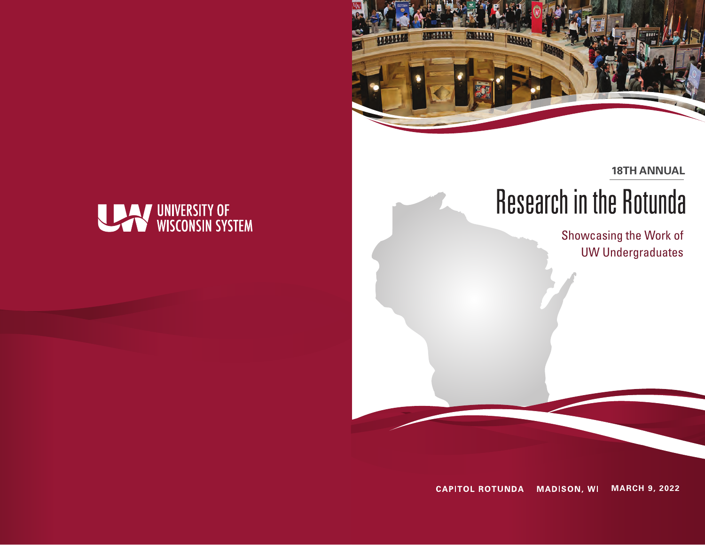

**18TH ANNUAL**

# **Research in the Rotunda**

Showcasing the Work of UW Undergraduates

**CAPITOL ROTUNDA MADISON, WI MARCH 9, 2022**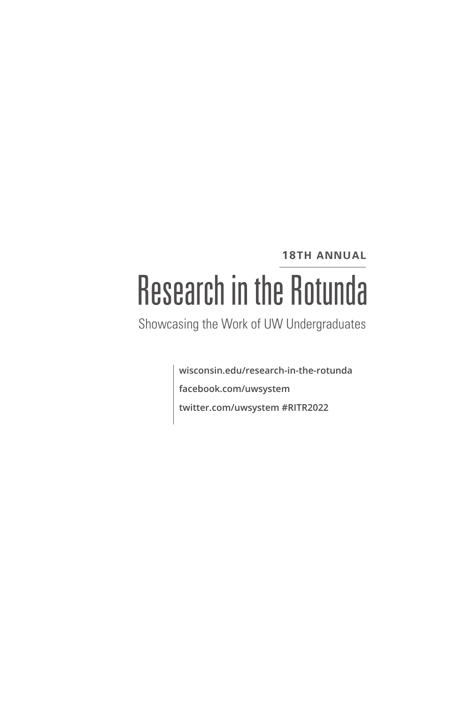# **18TH ANNUAL Research in the Rotunda**

Showcasing the Work of UW Undergraduates

**wisconsin.edu/research-in-the-rotunda facebook.com/uwsystem twitter.com/uwsystem #RITR2022**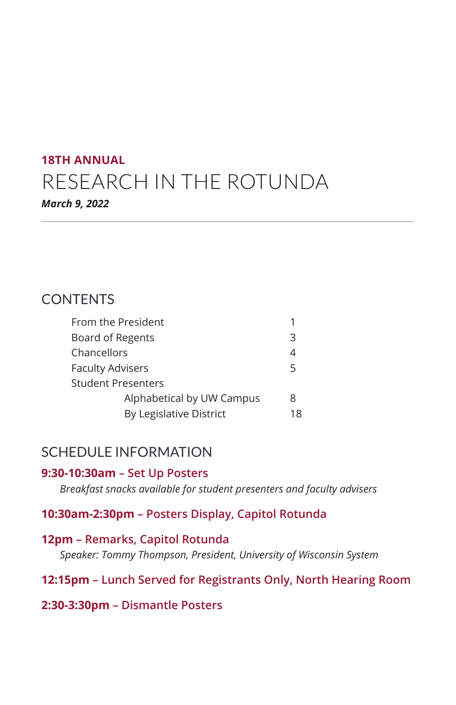# **18TH ANNUAL** RESEARCH IN THE ROTUNDA *March 9, 2022*

# **CONTENTS**

| From the President        |    |  |
|---------------------------|----|--|
| Board of Regents          |    |  |
| Chancellors               | 4  |  |
| <b>Faculty Advisers</b>   |    |  |
| Student Presenters        |    |  |
| Alphabetical by UW Campus | 8  |  |
| By Legislative District   | 18 |  |
|                           |    |  |

# SCHEDULE INFORMATION

# **9:30-10:30am – Set Up Posters**

*Breakfast snacks available for student presenters and faculty advisers*

# **10:30am-2:30pm – Posters Display, Capitol Rotunda**

# **12pm – Remarks, Capitol Rotunda**

*Speaker: Tommy Thompson, President, University of Wisconsin System*

# **12:15pm – Lunch Served for Registrants Only, North Hearing Room**

# **2:30-3:30pm – Dismantle Posters**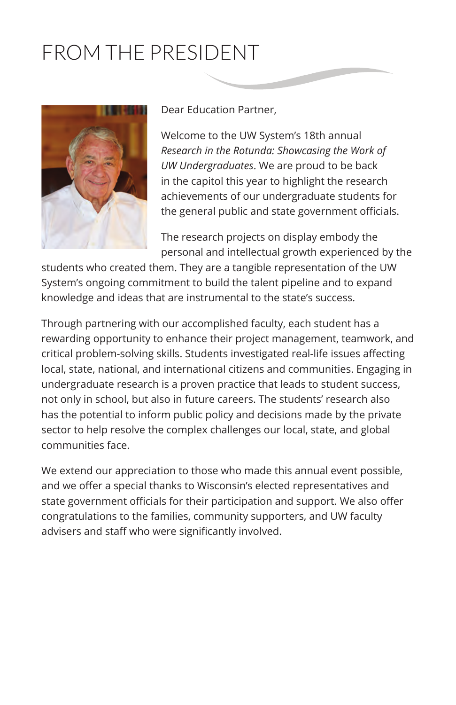# FROM THE PRESIDENT



Dear Education Partner,

Welcome to the UW System's 18th annual *Research in the Rotunda: Showcasing the Work of UW Undergraduates*. We are proud to be back in the capitol this year to highlight the research achievements of our undergraduate students for the general public and state government officials.

The research projects on display embody the personal and intellectual growth experienced by the

students who created them. They are a tangible representation of the UW System's ongoing commitment to build the talent pipeline and to expand knowledge and ideas that are instrumental to the state's success.

Through partnering with our accomplished faculty, each student has a rewarding opportunity to enhance their project management, teamwork, and critical problem-solving skills. Students investigated real-life issues affecting local, state, national, and international citizens and communities. Engaging in undergraduate research is a proven practice that leads to student success, not only in school, but also in future careers. The students' research also has the potential to inform public policy and decisions made by the private sector to help resolve the complex challenges our local, state, and global communities face.

We extend our appreciation to those who made this annual event possible, and we offer a special thanks to Wisconsin's elected representatives and state government officials for their participation and support. We also offer congratulations to the families, community supporters, and UW faculty advisers and staff who were significantly involved.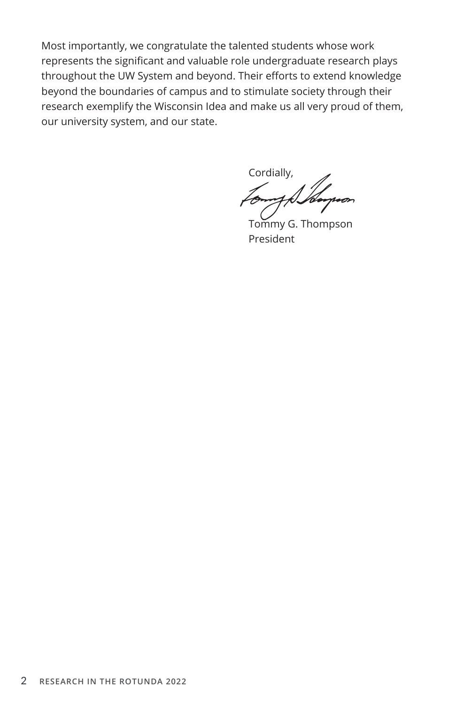Most importantly, we congratulate the talented students whose work represents the significant and valuable role undergraduate research plays throughout the UW System and beyond. Their efforts to extend knowledge beyond the boundaries of campus and to stimulate society through their research exemplify the Wisconsin Idea and make us all very proud of them, our university system, and our state.

Cordially,

 Tommy G. Thompson President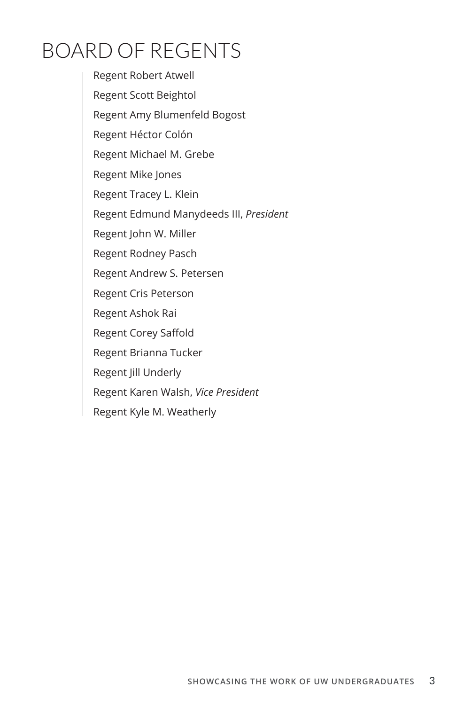# BOARD OF REGENTS

Regent Robert Atwell Regent Scott Beightol Regent Amy Blumenfeld Bogost Regent Héctor Colón Regent Michael M. Grebe Regent Mike Jones Regent Tracey L. Klein Regent Edmund Manydeeds III, *President* Regent John W. Miller Regent Rodney Pasch Regent Andrew S. Petersen Regent Cris Peterson Regent Ashok Rai Regent Corey Saffold Regent Brianna Tucker Regent Jill Underly Regent Karen Walsh, *Vice President* Regent Kyle M. Weatherly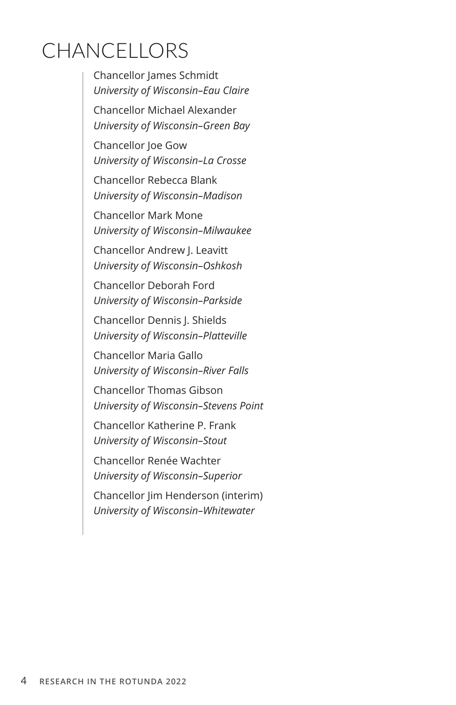# **CHANCELLORS**

Chancellor James Schmidt *University of Wisconsin–Eau Claire*

Chancellor Michael Alexander *University of Wisconsin–Green Bay*

Chancellor Joe Gow *University of Wisconsin–La Crosse*

Chancellor Rebecca Blank *University of Wisconsin–Madison*

Chancellor Mark Mone *University of Wisconsin–Milwaukee*

Chancellor Andrew J. Leavitt *University of Wisconsin–Oshkosh*

Chancellor Deborah Ford *University of Wisconsin–Parkside*

Chancellor Dennis J. Shields *University of Wisconsin–Platteville*

Chancellor Maria Gallo *University of Wisconsin–River Falls*

Chancellor Thomas Gibson *University of Wisconsin–Stevens Point*

Chancellor Katherine P. Frank *University of Wisconsin–Stout*

Chancellor Renée Wachter *University of Wisconsin–Superior*

Chancellor Jim Henderson (interim) *University of Wisconsin–Whitewater*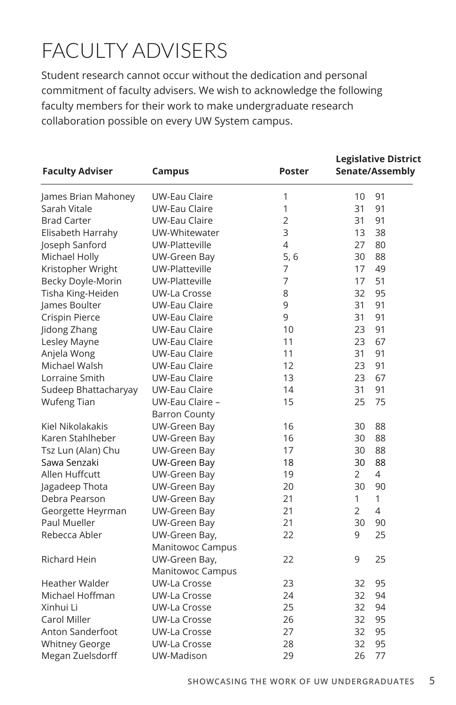# FACULTY ADVISERS

Student research cannot occur without the dedication and personal commitment of faculty advisers. We wish to acknowledge the following faculty members for their work to make undergraduate research collaboration possible on every UW System campus.

|                        |                      |                | <b>Legislative District</b> |                 |
|------------------------|----------------------|----------------|-----------------------------|-----------------|
| <b>Faculty Adviser</b> | Campus               | <b>Poster</b>  |                             | Senate/Assembly |
| James Brian Mahoney    | UW-Eau Claire        | 1              | 10                          | 91              |
| Sarah Vitale           | <b>UW-Eau Claire</b> | $\mathbf{1}$   | 31                          | 91              |
| <b>Brad Carter</b>     | <b>UW-Eau Claire</b> | $\overline{2}$ | 31                          | 91              |
| Elisabeth Harrahy      | UW-Whitewater        | 3              | 13                          | 38              |
| Joseph Sanford         | UW-Platteville       | $\overline{4}$ | 27                          | 80              |
| Michael Holly          | UW-Green Bay         | 5, 6           | 30                          | 88              |
| Kristopher Wright      | UW-Platteville       | 7              | 17                          | 49              |
| Becky Doyle-Morin      | UW-Platteville       | 7              | 17                          | 51              |
| Tisha King-Heiden      | UW-La Crosse         | 8              | 32                          | 95              |
| James Boulter          | UW-Eau Claire        | 9              | 31                          | 91              |
| Crispin Pierce         | <b>UW-Eau Claire</b> | 9              | 31                          | 91              |
| Jidong Zhang           | UW-Eau Claire        | 10             | 23                          | 91              |
| Lesley Mayne           | <b>UW-Eau Claire</b> | 11             | 23                          | 67              |
| Anjela Wong            | <b>UW-Eau Claire</b> | 11             | 31                          | 91              |
| Michael Walsh          | UW-Eau Claire        | 12             | 23                          | 91              |
| Lorraine Smith         | <b>UW-Eau Claire</b> | 13             | 23                          | 67              |
| Sudeep Bhattacharyay   | UW-Eau Claire        | 14             | 31                          | 91              |
| <b>Wufeng Tian</b>     | UW-Eau Claire -      | 15             | 25                          | 75              |
|                        | <b>Barron County</b> |                |                             |                 |
| Kiel Nikolakakis       | UW-Green Bay         | 16             | 30                          | 88              |
| Karen Stahlheber       | UW-Green Bay         | 16             | 30                          | 88              |
| Tsz Lun (Alan) Chu     | UW-Green Bay         | 17             | 30                          | 88              |
| Sawa Senzaki           | UW-Green Bay         | 18             | 30                          | 88              |
| Allen Huffcutt         | UW-Green Bay         | 19             | 2                           | 4               |
| Jagadeep Thota         | UW-Green Bay         | 20             | 30                          | 90              |
| Debra Pearson          | UW-Green Bay         | 21             | 1                           | $\mathbf{1}$    |
| Georgette Heyrman      | UW-Green Bay         | 21             | $\overline{2}$              | $\overline{4}$  |
| Paul Mueller           | UW-Green Bay         | 21             | 30                          | 90              |
| Rebecca Abler          | UW-Green Bay,        | 22             | 9                           | 25              |
|                        | Manitowoc Campus     |                |                             |                 |
| <b>Richard Hein</b>    | UW-Green Bay,        | 22             | 9                           | 25              |
|                        | Manitowoc Campus     |                |                             |                 |
| <b>Heather Walder</b>  | UW-La Crosse         | 23             | 32                          | 95              |
| Michael Hoffman        | UW-La Crosse         | 24             | 32                          | 94              |
| Xinhui Li              | UW-La Crosse         | 25             | 32                          | 94              |
| Carol Miller           | UW-La Crosse         | 26             | 32                          | 95              |
| Anton Sanderfoot       | UW-La Crosse         | 27             | 32                          | 95              |
| <b>Whitney George</b>  | UW-La Crosse         | 28             | 32                          | 95              |
| Megan Zuelsdorff       | UW-Madison           | 29             | 26                          | 77              |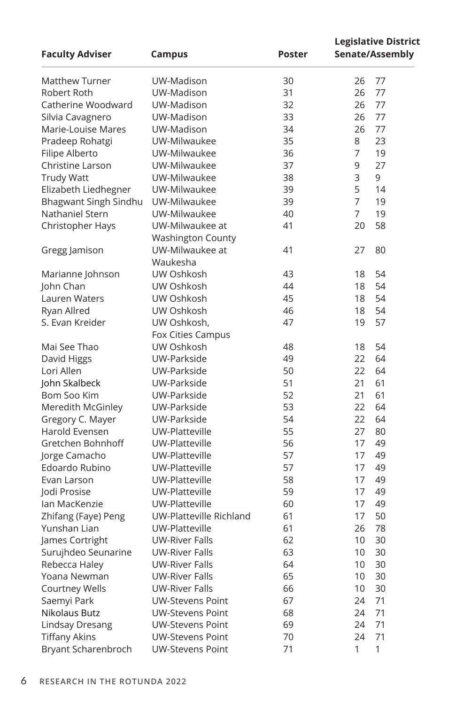| <b>Faculty Adviser</b> | <b>Campus</b>            | <b>Poster</b> | <b>Legislative District</b><br>Senate/Assembly |
|------------------------|--------------------------|---------------|------------------------------------------------|
| <b>Matthew Turner</b>  | UW-Madison               | 30            | 26<br>77                                       |
| Robert Roth            | UW-Madison               | 31            | 77<br>26                                       |
| Catherine Woodward     | UW-Madison               | 32            | 77<br>26                                       |
| Silvia Cavagnero       | UW-Madison               | 33            | 77<br>26                                       |
| Marie-Louise Mares     | UW-Madison               | 34            | 26<br>77                                       |
| Pradeep Rohatgi        | UW-Milwaukee             | 35            | 8<br>23                                        |
| Filipe Alberto         | UW-Milwaukee             | 36            | 7<br>19                                        |
| Christine Larson       | UW-Milwaukee             | 37            | 9<br>27                                        |
| <b>Trudy Watt</b>      | UW-Milwaukee             | 38            | 3<br>9                                         |
| Elizabeth Liedhegner   | UW-Milwaukee             | 39            | 5<br>14                                        |
| Bhagwant Singh Sindhu  | UW-Milwaukee             | 39            | $\overline{7}$<br>19                           |
| Nathaniel Stern        | UW-Milwaukee             | 40            | $\overline{7}$<br>19                           |
| Christopher Hays       | UW-Milwaukee at          | 41            | 20<br>58                                       |
|                        | <b>Washington County</b> |               |                                                |
| Gregg Jamison          | UW-Milwaukee at          | 41            | 27<br>80                                       |
|                        | Waukesha                 |               |                                                |
| Marianne Johnson       | UW Oshkosh               | 43            | 54<br>18                                       |
| John Chan              | UW Oshkosh               | 44            | 54<br>18                                       |
| Lauren Waters          | UW Oshkosh               | 45            | 54<br>18                                       |
| Ryan Allred            | UW Oshkosh               | 46            | 54<br>18                                       |
| S. Evan Kreider        | UW Oshkosh,              | 47            | 57<br>19                                       |
|                        | Fox Cities Campus        |               |                                                |
| Mai See Thao           | UW Oshkosh               | 48            | 54<br>18                                       |
| David Higgs            | UW-Parkside              | 49            | 22<br>64                                       |
| Lori Allen             | UW-Parkside              | 50            | 64<br>22                                       |
| John Skalbeck          | UW-Parkside              | 51            | 21<br>61                                       |
| Bom Soo Kim            | UW-Parkside              | 52            | 21<br>61                                       |
| Meredith McGinley      | UW-Parkside              | 53            | 22<br>64                                       |
| Gregory C. Mayer       | UW-Parkside              | 54            | 64<br>22                                       |
| Harold Evensen         | UW-Platteville           | 55            | 27<br>80                                       |
| Gretchen Bohnhoff      | UW-Platteville           | 56            | 17<br>49                                       |
| Jorge Camacho          | UW-Platteville           | 57            | 17<br>49                                       |
| Edoardo Rubino         | UW-Platteville           | 57            | 17<br>49                                       |
| Evan Larson            | UW-Platteville           | 58            | 17<br>49                                       |
| Jodi Prosise           | UW-Platteville           | 59            | 17<br>49                                       |
| lan MacKenzie          | UW-Platteville           | 60            | 17<br>49                                       |
| Zhifang (Faye) Peng    | UW-Platteville Richland  | 61            | 50<br>17                                       |
| Yunshan Lian           | UW-Platteville           | 61            | 78<br>26                                       |
| James Cortright        | UW-River Falls           | 62            | 10<br>30                                       |
| Surujhdeo Seunarine    | <b>UW-River Falls</b>    | 63            | 10 <sup>1</sup><br>30                          |
| Rebecca Haley          | <b>UW-River Falls</b>    | 64            | 10<br>30                                       |
| Yoana Newman           | UW-River Falls           | 65            | 10<br>30                                       |
| <b>Courtney Wells</b>  | <b>UW-River Falls</b>    | 66            | 10<br>30                                       |
| Saemyi Park            | <b>UW-Stevens Point</b>  | 67            | 71<br>24                                       |
| Nikolaus Butz          | <b>UW-Stevens Point</b>  | 68            | 71<br>24                                       |
| Lindsay Dresang        | UW-Stevens Point         | 69            | 71<br>24                                       |
| <b>Tiffany Akins</b>   | <b>UW-Stevens Point</b>  | 70            | 71<br>24                                       |
| Bryant Scharenbroch    | <b>UW-Stevens Point</b>  | 71            | $\mathbf{1}$<br>1                              |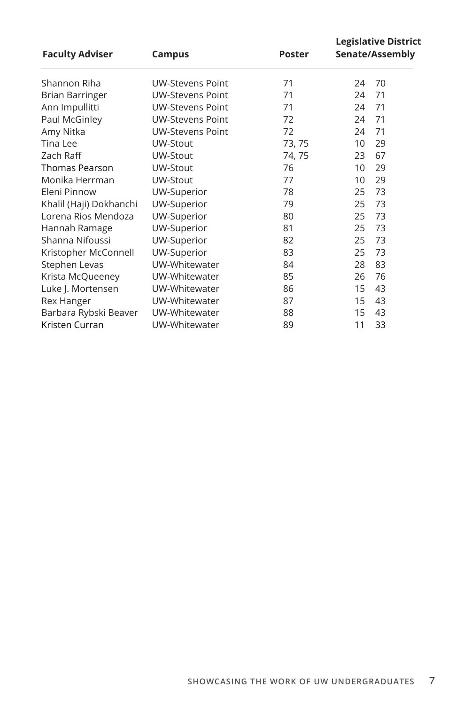| <b>Faculty Adviser</b>  | Campus                  | <b>Poster</b> |    | <b>Legislative District</b><br>Senate/Assembly |
|-------------------------|-------------------------|---------------|----|------------------------------------------------|
| Shannon Riha            | <b>UW-Stevens Point</b> | 71            | 24 | 70                                             |
| Brian Barringer         | <b>UW-Stevens Point</b> | 71            | 24 | 71                                             |
| Ann Impullitti          | <b>UW-Stevens Point</b> | 71            | 24 | 71                                             |
| Paul McGinley           | <b>UW-Stevens Point</b> | 72            | 24 | 71                                             |
| Amy Nitka               | <b>UW-Stevens Point</b> | 72            | 24 | 71                                             |
| Tina Lee                | UW-Stout                | 73, 75        | 10 | 29                                             |
| Zach Raff               | UW-Stout                | 74, 75        | 23 | 67                                             |
| <b>Thomas Pearson</b>   | UW-Stout                | 76            | 10 | 29                                             |
| Monika Herrman          | UW-Stout                | 77            | 10 | 29                                             |
| Eleni Pinnow            | UW-Superior             | 78            | 25 | 73                                             |
| Khalil (Haji) Dokhanchi | UW-Superior             | 79            | 25 | 73                                             |
| Lorena Rios Mendoza     | UW-Superior             | 80            | 25 | 73                                             |
| Hannah Ramage           | UW-Superior             | 81            | 25 | 73                                             |
| Shanna Nifoussi         | UW-Superior             | 82            | 25 | 73                                             |
| Kristopher McConnell    | UW-Superior             | 83            | 25 | 73                                             |
| Stephen Levas           | UW-Whitewater           | 84            | 28 | 83                                             |
| Krista McQueeney        | UW-Whitewater           | 85            | 26 | 76                                             |
| Luke J. Mortensen       | UW-Whitewater           | 86            | 15 | 43                                             |
| <b>Rex Hanger</b>       | UW-Whitewater           | 87            | 15 | 43                                             |
| Barbara Rybski Beaver   | UW-Whitewater           | 88            | 15 | 43                                             |
| Kristen Curran          | UW-Whitewater           | 89            | 11 | 33                                             |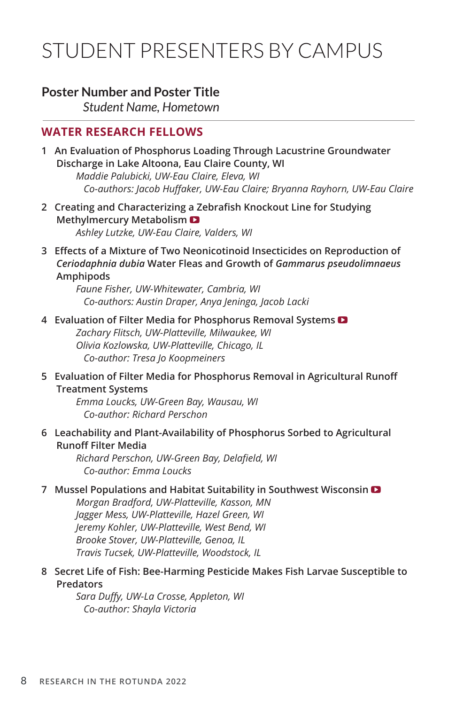# STUDENT PRESENTERS BY CAMPUS

# **Poster Number and Poster Title**

*Student Name, Hometown*

# **WATER RESEARCH FELLOWS**

**1 An Evaluation of Phosphorus Loading Through Lacustrine Groundwater Discharge in Lake Altoona, Eau Claire County, WI**

*Maddie Palubicki, UW-Eau Claire, Eleva, WI Co-authors: Jacob Huffaker, UW-Eau Claire; Bryanna Rayhorn, UW-Eau Claire*

- **2 Creating and Characterizing a Zebrafish Knockout Line for Studying Methylmercury Metabolism**  *Ashley Lutzke, UW-Eau Claire, Valders, WI*
- **3 Effects of a Mixture of Two Neonicotinoid Insecticides on Reproduction of**  *Ceriodaphnia dubia* **Water Fleas and Growth of** *Gammarus pseudolimnaeus* **Amphipods**

*Faune Fisher, UW-Whitewater, Cambria, WI Co-authors: Austin Draper, Anya Jeninga, Jacob Lacki*

# **4 Evaluation of Filter Media for Phosphorus Removal Systems**

*Zachary Flitsch, UW-Platteville, Milwaukee, WI Olivia Kozlowska, UW-Platteville, Chicago, IL Co-author: Tresa Jo Koopmeiners*

**5 Evaluation of Filter Media for Phosphorus Removal in Agricultural Runoff Treatment Systems**

*Emma Loucks, UW-Green Bay, Wausau, WI Co-author: Richard Perschon*

**6 Leachability and Plant-Availability of Phosphorus Sorbed to Agricultural Runoff Filter Media**

*Richard Perschon, UW-Green Bay, Delafield, WI Co-author: Emma Loucks*

# **7 Mussel Populations and Habitat Suitability in Southwest Wisconsin**

*Morgan Bradford, UW-Platteville, Kasson, MN Jagger Mess, UW-Platteville, Hazel Green, WI Jeremy Kohler, UW-Platteville, West Bend, WI Brooke Stover, UW-Platteville, Genoa, IL Travis Tucsek, UW-Platteville, Woodstock, IL*

**8 Secret Life of Fish: Bee-Harming Pesticide Makes Fish Larvae Susceptible to Predators**

*Sara Duffy, UW-La Crosse, Appleton, WI Co-author: Shayla Victoria*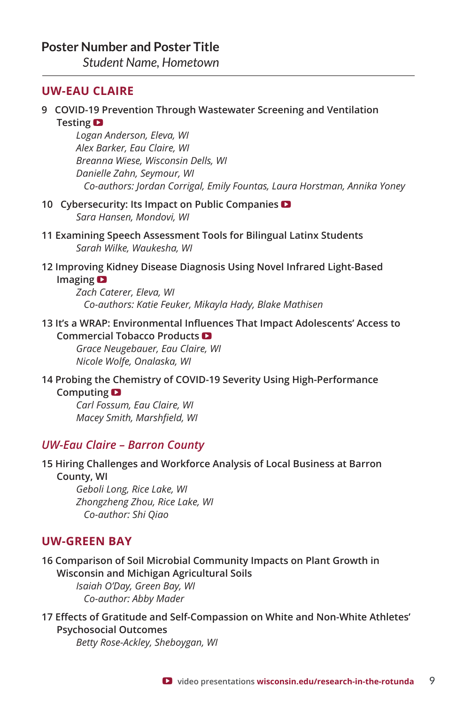*Student Name, Hometown*

# **UW-EAU CLAIRE**

## **9 COVID-19 Prevention Through Wastewater Screening and Ventilation Testing**

*Logan Anderson, Eleva, WI Alex Barker, Eau Claire, WI Breanna Wiese, Wisconsin Dells, WI Danielle Zahn, Seymour, WI Co-authors: Jordan Corrigal, Emily Fountas, Laura Horstman, Annika Yoney*

- **10 Cybersecurity: Its Impact on Public Companies**  *Sara Hansen, Mondovi, WI*
- **11 Examining Speech Assessment Tools for Bilingual Latinx Students** *Sarah Wilke, Waukesha, WI*

#### **12 Improving Kidney Disease Diagnosis Using Novel Infrared Light-Based Imaging**

*Zach Caterer, Eleva, WI Co-authors: Katie Feuker, Mikayla Hady, Blake Mathisen*

# **13 It's a WRAP: Environmental Influences That Impact Adolescents' Access to**

# **Commercial Tobacco Products**

*Grace Neugebauer, Eau Claire, WI Nicole Wolfe, Onalaska, WI*

#### **14 Probing the Chemistry of COVID-19 Severity Using High-Performance Computing**

*Carl Fossum, Eau Claire, WI Macey Smith, Marshfield, WI*

# *UW-Eau Claire – Barron County*

### **15 Hiring Challenges and Workforce Analysis of Local Business at Barron County, WI**

*Geboli Long, Rice Lake, WI Zhongzheng Zhou, Rice Lake, WI Co-author: Shi Qiao*

# **UW-GREEN BAY**

**16 Comparison of Soil Microbial Community Impacts on Plant Growth in Wisconsin and Michigan Agricultural Soils** *Isaiah O'Day, Green Bay, WI*

 *Co-author: Abby Mader* 

**17 Effects of Gratitude and Self-Compassion on White and Non-White Athletes' Psychosocial Outcomes**

*Betty Rose-Ackley, Sheboygan, WI*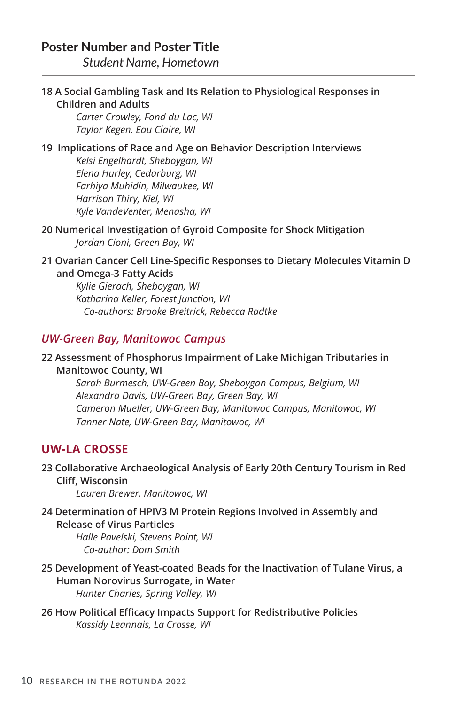*Student Name, Hometown*

# **18 A Social Gambling Task and Its Relation to Physiological Responses in Children and Adults**

*Carter Crowley, Fond du Lac, WI Taylor Kegen, Eau Claire, WI*

# **19 Implications of Race and Age on Behavior Description Interviews**

*Kelsi Engelhardt, Sheboygan, WI Elena Hurley, Cedarburg, WI Farhiya Muhidin, Milwaukee, WI Harrison Thiry, Kiel, WI Kyle VandeVenter, Menasha, WI* 

**20 Numerical Investigation of Gyroid Composite for Shock Mitigation** *Jordan Cioni, Green Bay, WI* 

# **21 Ovarian Cancer Cell Line-Specific Responses to Dietary Molecules Vitamin D and Omega-3 Fatty Acids**

*Kylie Gierach, Sheboygan, WI Katharina Keller, Forest Junction, WI Co-authors: Brooke Breitrick, Rebecca Radtke*

# *UW-Green Bay, Manitowoc Campus*

# **22 Assessment of Phosphorus Impairment of Lake Michigan Tributaries in Manitowoc County, WI**

*Sarah Burmesch, UW-Green Bay, Sheboygan Campus, Belgium, WI Alexandra Davis, UW-Green Bay, Green Bay, WI Cameron Mueller, UW-Green Bay, Manitowoc Campus, Manitowoc, WI Tanner Nate, UW-Green Bay, Manitowoc, WI*

# **UW-LA CROSSE**

# **23 Collaborative Archaeological Analysis of Early 20th Century Tourism in Red Cliff, Wisconsin**

*Lauren Brewer, Manitowoc, WI* 

# **24 Determination of HPIV3 M Protein Regions Involved in Assembly and Release of Virus Particles**

*Halle Pavelski, Stevens Point, WI Co-author: Dom Smith*

- **25 Development of Yeast-coated Beads for the Inactivation of Tulane Virus, a Human Norovirus Surrogate, in Water** *Hunter Charles, Spring Valley, WI*
- **26 How Political Efficacy Impacts Support for Redistributive Policies** *Kassidy Leannais, La Crosse, WI*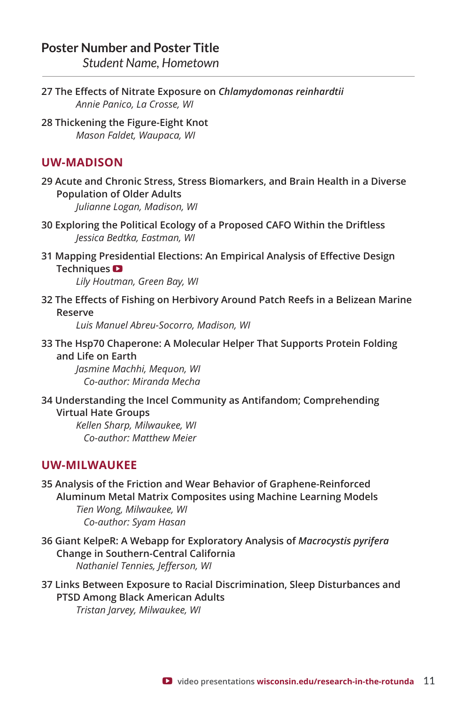*Student Name, Hometown*

- **27 The Effects of Nitrate Exposure on** *Chlamydomonas reinhardtii Annie Panico, La Crosse, WI*
- **28 Thickening the Figure-Eight Knot** *Mason Faldet, Waupaca, WI*

# **UW-MADISON**

**29 Acute and Chronic Stress, Stress Biomarkers, and Brain Health in a Diverse Population of Older Adults**

*Julianne Logan, Madison, WI*

- **30 Exploring the Political Ecology of a Proposed CAFO Within the Driftless** *Jessica Bedtka, Eastman, WI*
- **31 Mapping Presidential Elections: An Empirical Analysis of Effective Design Techniques**

*Lily Houtman, Green Bay, WI*

**32 The Effects of Fishing on Herbivory Around Patch Reefs in a Belizean Marine Reserve**

*Luis Manuel Abreu-Socorro, Madison, WI*

**33 The Hsp70 Chaperone: A Molecular Helper That Supports Protein Folding and Life on Earth**

*Jasmine Machhi, Mequon, WI Co-author: Miranda Mecha*

**34 Understanding the Incel Community as Antifandom; Comprehending Virtual Hate Groups**

*Kellen Sharp, Milwaukee, WI Co-author: Matthew Meier*

# **UW-MILWAUKEE**

- **35 Analysis of the Friction and Wear Behavior of Graphene-Reinforced Aluminum Metal Matrix Composites using Machine Learning Models** *Tien Wong, Milwaukee, WI Co-author: Syam Hasan*
- **36 Giant KelpeR: A Webapp for Exploratory Analysis of** *Macrocystis pyrifera* **Change in Southern-Central California** *Nathaniel Tennies, Jefferson, WI*
- **37 Links Between Exposure to Racial Discrimination, Sleep Disturbances and PTSD Among Black American Adults** *Tristan Jarvey, Milwaukee, WI*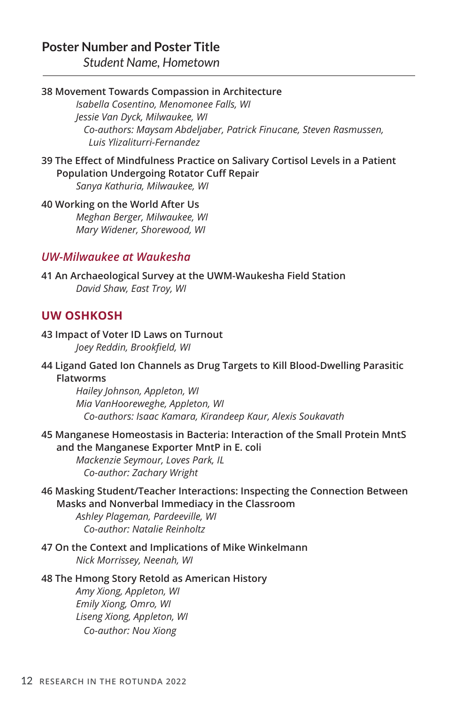*Student Name, Hometown*

### **38 Movement Towards Compassion in Architecture**

*Isabella Cosentino, Menomonee Falls, WI Jessie Van Dyck, Milwaukee, WI Co-authors: Maysam Abdeljaber, Patrick Finucane, Steven Rasmussen, Luis Ylizaliturri-Fernandez*

**39 The Effect of Mindfulness Practice on Salivary Cortisol Levels in a Patient Population Undergoing Rotator Cuff Repair** *Sanya Kathuria, Milwaukee, WI*

**40 Working on the World After Us** *Meghan Berger, Milwaukee, WI Mary Widener, Shorewood, WI*

# *UW-Milwaukee at Waukesha*

**41 An Archaeological Survey at the UWM-Waukesha Field Station** *David Shaw, East Troy, WI*

# **UW OSHKOSH**

**43 Impact of Voter ID Laws on Turnout** *Joey Reddin, Brookfield, WI*

**44 Ligand Gated Ion Channels as Drug Targets to Kill Blood-Dwelling Parasitic Flatworms**

*Hailey Johnson, Appleton, WI Mia VanHooreweghe, Appleton, WI Co-authors: Isaac Kamara, Kirandeep Kaur, Alexis Soukavath*

**45 Manganese Homeostasis in Bacteria: Interaction of the Small Protein MntS and the Manganese Exporter MntP in E. coli**

*Mackenzie Seymour, Loves Park, IL Co-author: Zachary Wright*

**46 Masking Student/Teacher Interactions: Inspecting the Connection Between Masks and Nonverbal Immediacy in the Classroom**

*Ashley Plageman, Pardeeville, WI Co-author: Natalie Reinholtz*

**47 On the Context and Implications of Mike Winkelmann** *Nick Morrissey, Neenah, WI*

#### **48 The Hmong Story Retold as American History**

*Amy Xiong, Appleton, WI Emily Xiong, Omro, WI Liseng Xiong, Appleton, WI Co-author: Nou Xiong*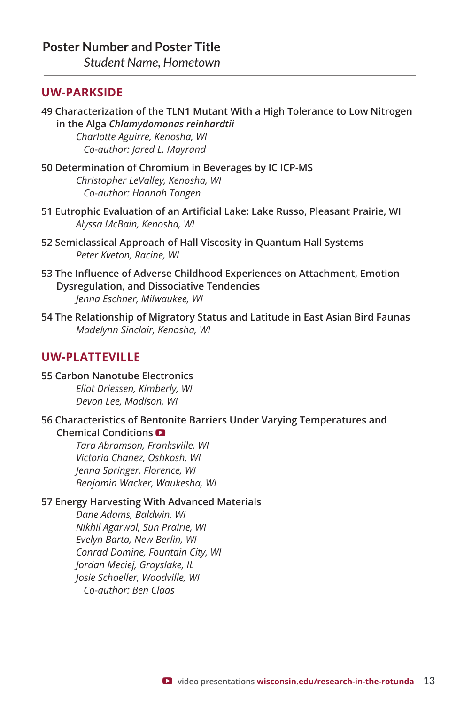*Student Name, Hometown*

# **UW-PARKSIDE**

**49 Characterization of the TLN1 Mutant With a High Tolerance to Low Nitrogen in the Alga** *Chlamydomonas reinhardtii*

*Charlotte Aguirre, Kenosha, WI Co-author: Jared L. Mayrand*

- **50 Determination of Chromium in Beverages by IC ICP-MS**  *Christopher LeValley, Kenosha, WI Co-author: Hannah Tangen*
- **51 Eutrophic Evaluation of an Artificial Lake: Lake Russo, Pleasant Prairie, WI**  *Alyssa McBain, Kenosha, WI*
- **52 Semiclassical Approach of Hall Viscosity in Quantum Hall Systems** *Peter Kveton, Racine, WI*
- **53 The Influence of Adverse Childhood Experiences on Attachment, Emotion Dysregulation, and Dissociative Tendencies** *Jenna Eschner, Milwaukee, WI*
- **54 The Relationship of Migratory Status and Latitude in East Asian Bird Faunas** *Madelynn Sinclair, Kenosha, WI*

# **UW-PLATTEVILLE**

**55 Carbon Nanotube Electronics** *Eliot Driessen, Kimberly, WI Devon Lee, Madison, WI*

**56 Characteristics of Bentonite Barriers Under Varying Temperatures and Chemical Conditions** 

*Tara Abramson, Franksville, WI Victoria Chanez, Oshkosh, WI Jenna Springer, Florence, WI Benjamin Wacker, Waukesha, WI*

### **57 Energy Harvesting With Advanced Materials**

*Dane Adams, Baldwin, WI Nikhil Agarwal, Sun Prairie, WI Evelyn Barta, New Berlin, WI Conrad Domine, Fountain City, WI Jordan Meciej, Grayslake, IL Josie Schoeller, Woodville, WI Co-author: Ben Claas*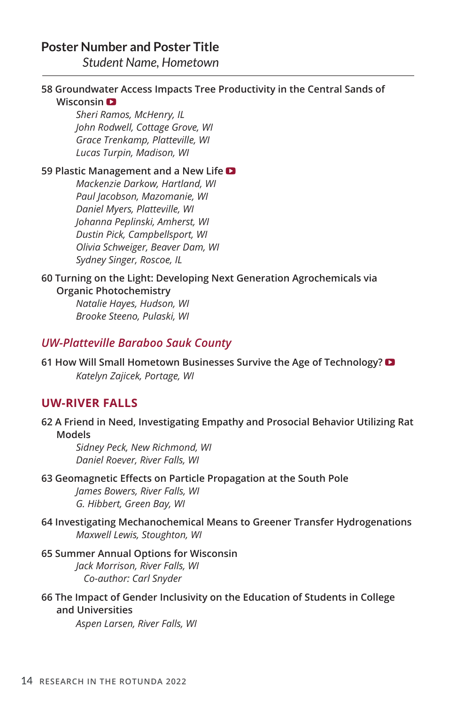*Student Name, Hometown*

# **58 Groundwater Access Impacts Tree Productivity in the Central Sands of Wisconsin**

*Sheri Ramos, McHenry, IL John Rodwell, Cottage Grove, WI Grace Trenkamp, Platteville, WI Lucas Turpin, Madison, WI*

### **59 Plastic Management and a New Life**

*Mackenzie Darkow, Hartland, WI Paul Jacobson, Mazomanie, WI Daniel Myers, Platteville, WI Johanna Peplinski, Amherst, WI Dustin Pick, Campbellsport, WI Olivia Schweiger, Beaver Dam, WI Sydney Singer, Roscoe, IL*

#### **60 Turning on the Light: Developing Next Generation Agrochemicals via Organic Photochemistry**

*Natalie Hayes, Hudson, WI Brooke Steeno, Pulaski, WI*

# *UW-Platteville Baraboo Sauk County*

**61 How Will Small Hometown Businesses Survive the Age of Technology?**  *Katelyn Zajicek, Portage, WI*

# **UW-RIVER FALLS**

**62 A Friend in Need, Investigating Empathy and Prosocial Behavior Utilizing Rat Models**

*Sidney Peck, New Richmond, WI Daniel Roever, River Falls, WI*

#### **63 Geomagnetic Effects on Particle Propagation at the South Pole**

*James Bowers, River Falls, WI G. Hibbert, Green Bay, WI*

### **64 Investigating Mechanochemical Means to Greener Transfer Hydrogenations** *Maxwell Lewis, Stoughton, WI*

**65 Summer Annual Options for Wisconsin** *Jack Morrison, River Falls, WI Co-author: Carl Snyder*

**66 The Impact of Gender Inclusivity on the Education of Students in College and Universities**

*Aspen Larsen, River Falls, WI*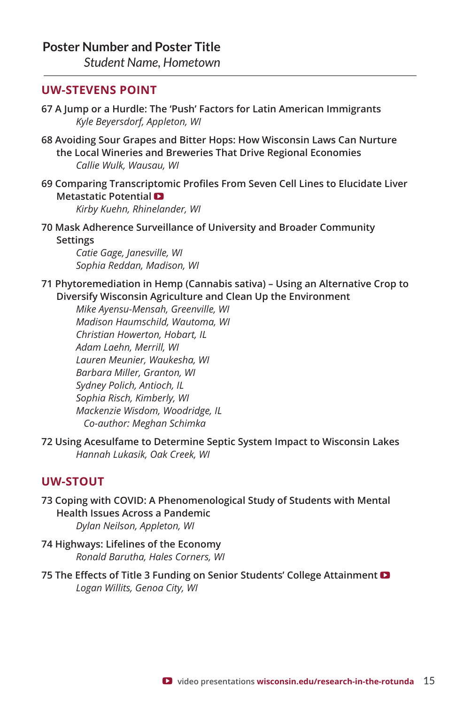*Student Name, Hometown*

# **UW-STEVENS POINT**

- **67 A Jump or a Hurdle: The 'Push' Factors for Latin American Immigrants** *Kyle Beyersdorf, Appleton, WI*
- **68 Avoiding Sour Grapes and Bitter Hops: How Wisconsin Laws Can Nurture the Local Wineries and Breweries That Drive Regional Economies** *Callie Wulk, Wausau, WI*
- **69 Comparing Transcriptomic Profiles From Seven Cell Lines to Elucidate Liver Metastatic Potential**

*Kirby Kuehn, Rhinelander, WI*

**70 Mask Adherence Surveillance of University and Broader Community Settings**

*Catie Gage, Janesville, WI Sophia Reddan, Madison, WI*

**71 Phytoremediation in Hemp (Cannabis sativa) – Using an Alternative Crop to Diversify Wisconsin Agriculture and Clean Up the Environment** 

*Mike Ayensu-Mensah, Greenville, WI Madison Haumschild, Wautoma, WI Christian Howerton, Hobart, IL Adam Laehn, Merrill, WI Lauren Meunier, Waukesha, WI Barbara Miller, Granton, WI Sydney Polich, Antioch, IL Sophia Risch, Kimberly, WI Mackenzie Wisdom, Woodridge, IL Co-author: Meghan Schimka*

**72 Using Acesulfame to Determine Septic System Impact to Wisconsin Lakes** *Hannah Lukasik, Oak Creek, WI*

# **UW-STOUT**

- **73 Coping with COVID: A Phenomenological Study of Students with Mental Health Issues Across a Pandemic** *Dylan Neilson, Appleton, WI*
- **74 Highways: Lifelines of the Economy** *Ronald Barutha, Hales Corners, WI*
- **75 The Effects of Title 3 Funding on Senior Students' College Attainment**  *Logan Willits, Genoa City, WI*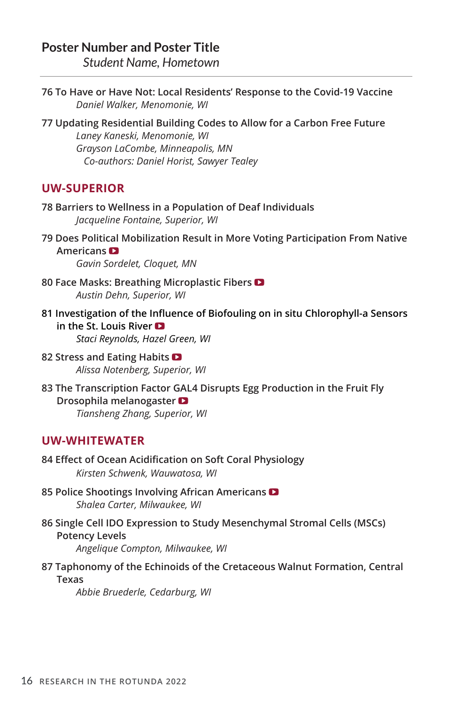*Student Name, Hometown*

- **76 To Have or Have Not: Local Residents' Response to the Covid-19 Vaccine** *Daniel Walker, Menomonie, WI*
- **77 Updating Residential Building Codes to Allow for a Carbon Free Future** *Laney Kaneski, Menomonie, WI Grayson LaCombe, Minneapolis, MN Co-authors: Daniel Horist, Sawyer Tealey*

# **UW-SUPERIOR**

- **78 Barriers to Wellness in a Population of Deaf Individuals** *Jacqueline Fontaine, Superior, WI*
- **79 Does Political Mobilization Result in More Voting Participation From Native Americans**  *Gavin Sordelet, Cloquet, MN*
- **80 Face Masks: Breathing Microplastic Fibers**  *Austin Dehn, Superior, WI*
- **81 Investigation of the Influence of Biofouling on in situ Chlorophyll-a Sensors in the St. Louis River**  *Staci Reynolds, Hazel Green, WI*
- **82 Stress and Eating Habits**  *Alissa Notenberg, Superior, WI*
- **83 The Transcription Factor GAL4 Disrupts Egg Production in the Fruit Fly Drosophila melanogaster**  *Tiansheng Zhang, Superior, WI*

# **UW-WHITEWATER**

- **84 Effect of Ocean Acidification on Soft Coral Physiology** *Kirsten Schwenk, Wauwatosa, WI*
- **85 Police Shootings Involving African Americans**  *Shalea Carter, Milwaukee, WI*
- **86 Single Cell IDO Expression to Study Mesenchymal Stromal Cells (MSCs) Potency Levels** *Angelique Compton, Milwaukee, WI*
- **87 Taphonomy of the Echinoids of the Cretaceous Walnut Formation, Central Texas**

*Abbie Bruederle, Cedarburg, WI*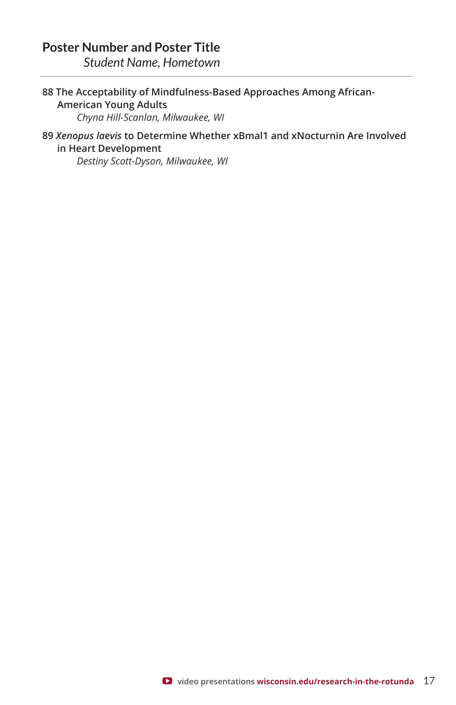*Student Name, Hometown*

## **88 The Acceptability of Mindfulness-Based Approaches Among African-American Young Adults** *Chyna Hill-Scanlan, Milwaukee, WI*

# **89** *Xenopus laevis* **to Determine Whether xBmal1 and xNocturnin Are Involved in Heart Development**

*Destiny Scott-Dyson, Milwaukee, WI*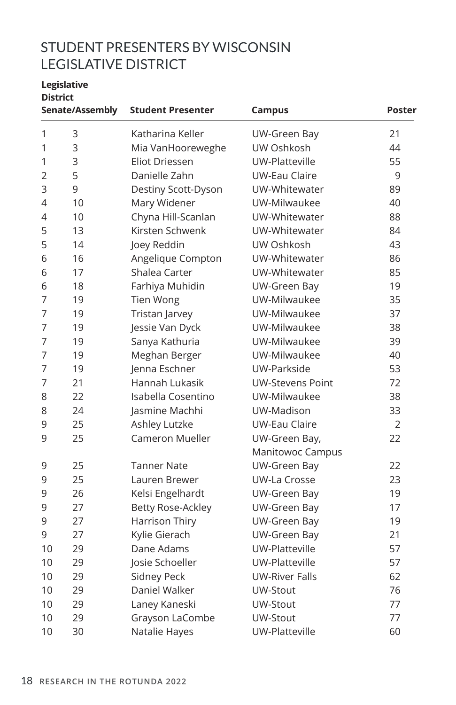# STUDENT PRESENTERS BY WISCONSIN LEGISLATIVE DISTRICT

#### **Legislative District**

|                | Senate/Assembly | <b>Student Presenter</b> | <b>Campus</b>           | Poster         |  |
|----------------|-----------------|--------------------------|-------------------------|----------------|--|
| 1              | 3               | Katharina Keller         | UW-Green Bay            | 21             |  |
| 1              | 3               | Mia VanHooreweghe        | UW Oshkosh              | 44             |  |
| 1              | 3               | <b>Eliot Driessen</b>    | UW-Platteville          | 55             |  |
| $\overline{2}$ | 5               | Danielle Zahn            | <b>UW-Eau Claire</b>    | 9              |  |
| 3              | 9               | Destiny Scott-Dyson      | UW-Whitewater           | 89             |  |
| 4              | 10              | Mary Widener             | UW-Milwaukee            | 40             |  |
| 4              | 10              | Chyna Hill-Scanlan       | UW-Whitewater           | 88             |  |
| 5              | 13              | Kirsten Schwenk          | UW-Whitewater           | 84             |  |
| 5              | 14              | Joey Reddin              | UW Oshkosh              | 43             |  |
| 6              | 16              | Angelique Compton        | UW-Whitewater           | 86             |  |
| 6              | 17              | Shalea Carter            | UW-Whitewater           | 85             |  |
| 6              | 18              | Farhiya Muhidin          | <b>UW-Green Bay</b>     | 19             |  |
| 7              | 19              | <b>Tien Wong</b>         | UW-Milwaukee            | 35             |  |
| 7              | 19              | Tristan Jarvey           | UW-Milwaukee            | 37             |  |
| 7              | 19              | Jessie Van Dyck          | UW-Milwaukee            | 38             |  |
| 7              | 19              | Sanya Kathuria           | UW-Milwaukee            | 39             |  |
| 7              | 19              | Meghan Berger            | UW-Milwaukee            | 40             |  |
| 7              | 19              | Jenna Eschner            | UW-Parkside             | 53             |  |
| 7              | 21              | Hannah Lukasik           | <b>UW-Stevens Point</b> | 72             |  |
| 8              | 22              | Isabella Cosentino       | UW-Milwaukee            | 38             |  |
| 8              | 24              | Jasmine Machhi           | UW-Madison              | 33             |  |
| 9              | 25              | Ashley Lutzke            | <b>UW-Eau Claire</b>    | $\overline{2}$ |  |
| 9              | 25              | <b>Cameron Mueller</b>   | UW-Green Bay,           | 22             |  |
|                |                 |                          | Manitowoc Campus        |                |  |
| 9              | 25              | <b>Tanner Nate</b>       | UW-Green Bay            | 22             |  |
| 9              | 25              | Lauren Brewer            | <b>UW-La Crosse</b>     | 23             |  |
| 9              | 26              | Kelsi Engelhardt         | UW-Green Bay            | 19             |  |
| 9              | 27              | <b>Betty Rose-Ackley</b> | UW-Green Bay            | 17             |  |
| 9              | 27              | Harrison Thiry           | UW-Green Bay            | 19             |  |
| 9              | 27              | Kylie Gierach            | <b>UW-Green Bay</b>     | 21             |  |
| 10             | 29              | Dane Adams               | UW-Platteville          | 57             |  |
| 10             | 29              | Josie Schoeller          | UW-Platteville          | 57             |  |
| 10             | 29              | Sidney Peck              | <b>UW-River Falls</b>   | 62             |  |
| 10             | 29              | Daniel Walker            | UW-Stout                | 76             |  |
| 10             | 29              | Laney Kaneski            | UW-Stout                | 77             |  |
| 10             | 29              | Grayson LaCombe          | UW-Stout                | 77             |  |
| 10             | 30              | Natalie Hayes            | UW-Platteville          | 60             |  |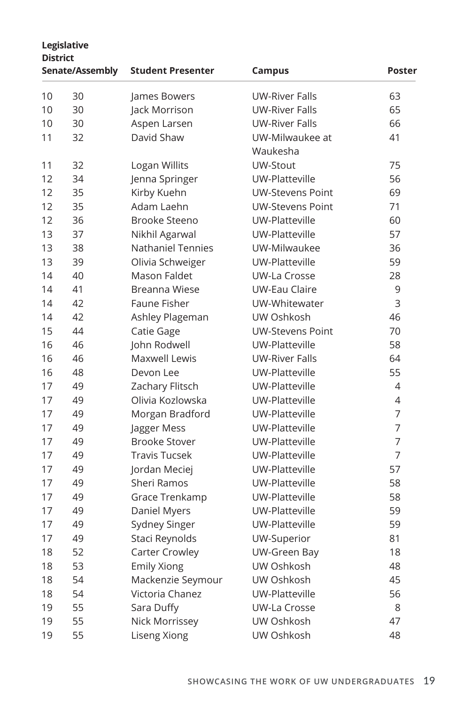|    | Legislative<br><b>District</b> |                          |                         |               |  |  |
|----|--------------------------------|--------------------------|-------------------------|---------------|--|--|
|    | Senate/Assembly                | <b>Student Presenter</b> | Campus                  | <b>Poster</b> |  |  |
| 10 | 30                             | James Bowers             | <b>UW-River Falls</b>   | 63            |  |  |
| 10 | 30                             | Jack Morrison            | <b>UW-River Falls</b>   | 65            |  |  |
| 10 | 30                             | Aspen Larsen             | <b>UW-River Falls</b>   | 66            |  |  |
| 11 | 32                             | David Shaw               | UW-Milwaukee at         | 41            |  |  |
|    |                                |                          | Waukesha                |               |  |  |
| 11 | 32                             | Logan Willits            | UW-Stout                | 75            |  |  |
| 12 | 34                             | Jenna Springer           | UW-Platteville          | 56            |  |  |
| 12 | 35                             | Kirby Kuehn              | <b>UW-Stevens Point</b> | 69            |  |  |
| 12 | 35                             | Adam Laehn               | <b>UW-Stevens Point</b> | 71            |  |  |
| 12 | 36                             | Brooke Steeno            | UW-Platteville          | 60            |  |  |
| 13 | 37                             | Nikhil Agarwal           | UW-Platteville          | 57            |  |  |
| 13 | 38                             | <b>Nathaniel Tennies</b> | UW-Milwaukee            | 36            |  |  |
| 13 | 39                             | Olivia Schweiger         | UW-Platteville          | 59            |  |  |
| 14 | 40                             | Mason Faldet             | <b>UW-La Crosse</b>     | 28            |  |  |
| 14 | 41                             | Breanna Wiese            | <b>UW-Eau Claire</b>    | 9             |  |  |
| 14 | 42                             | Faune Fisher             | UW-Whitewater           | 3             |  |  |
| 14 | 42                             | Ashley Plageman          | UW Oshkosh              | 46            |  |  |
| 15 | 44                             | Catie Gage               | <b>UW-Stevens Point</b> | 70            |  |  |
| 16 | 46                             | John Rodwell             | UW-Platteville          | 58            |  |  |
| 16 | 46                             | Maxwell Lewis            | <b>UW-River Falls</b>   | 64            |  |  |
| 16 | 48                             | Devon Lee                | UW-Platteville          | 55            |  |  |
| 17 | 49                             | Zachary Flitsch          | UW-Platteville          | 4             |  |  |
| 17 | 49                             | Olivia Kozlowska         | UW-Platteville          | 4             |  |  |
| 17 | 49                             | Morgan Bradford          | UW-Platteville          | 7             |  |  |
| 17 | 49                             | Jagger Mess              | UW-Platteville          | 7             |  |  |
| 17 | 49                             | <b>Brooke Stover</b>     | UW-Platteville          | 7             |  |  |
| 17 | 49                             | <b>Travis Tucsek</b>     | UW-Platteville          | 7             |  |  |
| 17 | 49                             | Jordan Meciej            | UW-Platteville          | 57            |  |  |
| 17 | 49                             | <b>Sheri Ramos</b>       | UW-Platteville          | 58            |  |  |
| 17 | 49                             | Grace Trenkamp           | UW-Platteville          | 58            |  |  |
| 17 | 49                             | Daniel Myers             | UW-Platteville          | 59            |  |  |
| 17 | 49                             | Sydney Singer            | UW-Platteville          | 59            |  |  |
| 17 | 49                             | Staci Reynolds           | UW-Superior             | 81            |  |  |
| 18 | 52                             | Carter Crowley           | UW-Green Bay            | 18            |  |  |
| 18 | 53                             | <b>Emily Xiong</b>       | UW Oshkosh              | 48            |  |  |
| 18 | 54                             | Mackenzie Seymour        | UW Oshkosh              | 45            |  |  |
| 18 | 54                             | Victoria Chanez          | UW-Platteville          | 56            |  |  |
| 19 | 55                             | Sara Duffy               | <b>UW-La Crosse</b>     | 8             |  |  |
| 19 | 55                             | Nick Morrissey           | UW Oshkosh              | 47            |  |  |
| 19 | 55                             | Liseng Xiong             | UW Oshkosh              | 48            |  |  |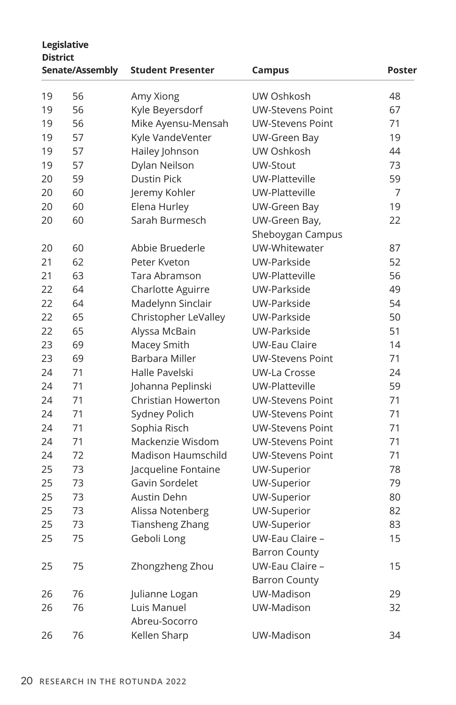|    | Legislative<br><b>District</b> |                           |                         |        |  |  |
|----|--------------------------------|---------------------------|-------------------------|--------|--|--|
|    | Senate/Assembly                | <b>Student Presenter</b>  | Campus                  | Poster |  |  |
| 19 | 56                             | Amy Xiong                 | UW Oshkosh              | 48     |  |  |
| 19 | 56                             | Kyle Beyersdorf           | <b>UW-Stevens Point</b> | 67     |  |  |
| 19 | 56                             | Mike Ayensu-Mensah        | <b>UW-Stevens Point</b> | 71     |  |  |
| 19 | 57                             | Kyle VandeVenter          | UW-Green Bay            | 19     |  |  |
| 19 | 57                             | Hailey Johnson            | UW Oshkosh              | 44     |  |  |
| 19 | 57                             | Dylan Neilson             | UW-Stout                | 73     |  |  |
| 20 | 59                             | <b>Dustin Pick</b>        | UW-Platteville          | 59     |  |  |
| 20 | 60                             | Jeremy Kohler             | UW-Platteville          | 7      |  |  |
| 20 | 60                             | Elena Hurley              | UW-Green Bay            | 19     |  |  |
| 20 | 60                             | Sarah Burmesch            | UW-Green Bay,           | 22     |  |  |
|    |                                |                           | Sheboygan Campus        |        |  |  |
| 20 | 60                             | Abbie Bruederle           | UW-Whitewater           | 87     |  |  |
| 21 | 62                             | Peter Kveton              | UW-Parkside             | 52     |  |  |
| 21 | 63                             | Tara Abramson             | UW-Platteville          | 56     |  |  |
| 22 | 64                             | Charlotte Aguirre         | UW-Parkside             | 49     |  |  |
| 22 | 64                             | Madelynn Sinclair         | UW-Parkside             | 54     |  |  |
| 22 | 65                             | Christopher LeValley      | UW-Parkside             | 50     |  |  |
| 22 | 65                             | Alyssa McBain             | UW-Parkside             | 51     |  |  |
| 23 | 69                             | Macey Smith               | UW-Eau Claire           | 14     |  |  |
| 23 | 69                             | <b>Barbara Miller</b>     | <b>UW-Stevens Point</b> | 71     |  |  |
| 24 | 71                             | Halle Pavelski            | UW-La Crosse            | 24     |  |  |
| 24 | 71                             | Johanna Peplinski         | UW-Platteville          | 59     |  |  |
| 24 | 71                             | <b>Christian Howerton</b> | <b>UW-Stevens Point</b> | 71     |  |  |
| 24 | 71                             | Sydney Polich             | <b>UW-Stevens Point</b> | 71     |  |  |
| 24 | 71                             | Sophia Risch              | <b>UW-Stevens Point</b> | 71     |  |  |
| 24 | 71                             | Mackenzie Wisdom          | <b>UW-Stevens Point</b> | 71     |  |  |
| 24 | 72                             | <b>Madison Haumschild</b> | <b>UW-Stevens Point</b> | 71     |  |  |
| 25 | 73                             | Jacqueline Fontaine       | UW-Superior             | 78     |  |  |
| 25 | 73                             | Gavin Sordelet            | UW-Superior             | 79     |  |  |
| 25 | 73                             | Austin Dehn               | UW-Superior             | 80     |  |  |
| 25 | 73                             | Alissa Notenberg          | UW-Superior             | 82     |  |  |
| 25 | 73                             | <b>Tiansheng Zhang</b>    | UW-Superior             | 83     |  |  |
| 25 | 75                             | Geboli Long               | UW-Eau Claire -         | 15     |  |  |
|    |                                |                           | Barron County           |        |  |  |
| 25 | 75                             | Zhongzheng Zhou           | UW-Eau Claire -         | 15     |  |  |
|    |                                |                           | <b>Barron County</b>    |        |  |  |
| 26 | 76                             | Julianne Logan            | UW-Madison              | 29     |  |  |
| 26 | 76                             | Luis Manuel               | UW-Madison              | 32     |  |  |
|    |                                | Abreu-Socorro             |                         |        |  |  |
| 26 | 76                             | Kellen Sharp              | UW-Madison              | 34     |  |  |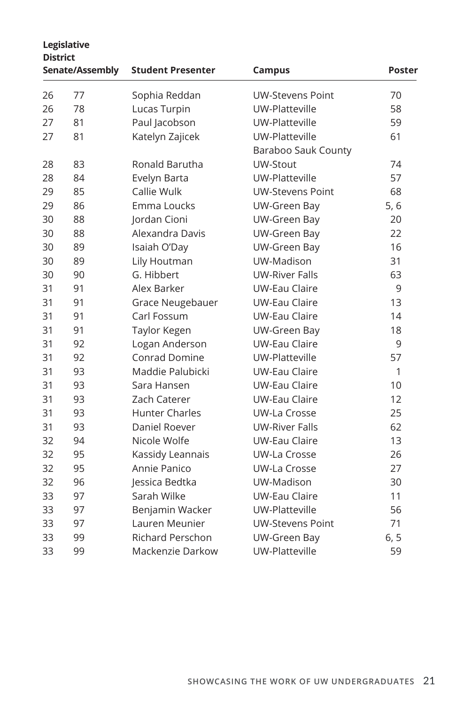| <b>District</b> | Legislative     |                          |                         |        |
|-----------------|-----------------|--------------------------|-------------------------|--------|
|                 | Senate/Assembly | <b>Student Presenter</b> | Campus                  | Poster |
| 26              | 77              | Sophia Reddan            | <b>UW-Stevens Point</b> | 70     |
| 26              | 78              | Lucas Turpin             | UW-Platteville          | 58     |
| 27              | 81              | Paul Jacobson            | UW-Platteville          | 59     |
| 27              | 81              | Katelyn Zajicek          | UW-Platteville          | 61     |
|                 |                 |                          | Baraboo Sauk County     |        |
| 28              | 83              | Ronald Barutha           | UW-Stout                | 74     |
| 28              | 84              | Evelyn Barta             | UW-Platteville          | 57     |
| 29              | 85              | Callie Wulk              | <b>UW-Stevens Point</b> | 68     |
| 29              | 86              | Emma Loucks              | UW-Green Bay            | 5, 6   |
| 30              | 88              | Jordan Cioni             | UW-Green Bay            | 20     |
| 30              | 88              | Alexandra Davis          | UW-Green Bay            | 22     |
| 30              | 89              | Isaiah O'Day             | UW-Green Bay            | 16     |
| 30              | 89              | Lily Houtman             | UW-Madison              | 31     |
| 30              | 90              | G. Hibbert               | <b>UW-River Falls</b>   | 63     |
| 31              | 91              | Alex Barker              | <b>UW-Eau Claire</b>    | 9      |
| 31              | 91              | Grace Neugebauer         | <b>UW-Eau Claire</b>    | 13     |
| 31              | 91              | Carl Fossum              | <b>UW-Eau Claire</b>    | 14     |
| 31              | 91              | Taylor Kegen             | UW-Green Bay            | 18     |
| 31              | 92              | Logan Anderson           | <b>UW-Eau Claire</b>    | 9      |
| 31              | 92              | <b>Conrad Domine</b>     | UW-Platteville          | 57     |
| 31              | 93              | Maddie Palubicki         | <b>UW-Eau Claire</b>    | 1      |
| 31              | 93              | Sara Hansen              | <b>UW-Eau Claire</b>    | 10     |
| 31              | 93              | Zach Caterer             | <b>UW-Eau Claire</b>    | 12     |
| 31              | 93              | <b>Hunter Charles</b>    | UW-La Crosse            | 25     |
| 31              | 93              | Daniel Roever            | <b>UW-River Falls</b>   | 62     |
| 32              | 94              | Nicole Wolfe             | <b>UW-Eau Claire</b>    | 13     |
| 32              | 95              | Kassidy Leannais         | UW-La Crosse            | 26     |
| 32              | 95              | Annie Panico             | <b>UW-La Crosse</b>     | 27     |
| 32              | 96              | Jessica Bedtka           | UW-Madison              | 30     |
| 33              | 97              | Sarah Wilke              | <b>UW-Eau Claire</b>    | 11     |
| 33              | 97              | Benjamin Wacker          | UW-Platteville          | 56     |
| 33              | 97              | Lauren Meunier           | <b>UW-Stevens Point</b> | 71     |
| 33              | 99              | <b>Richard Perschon</b>  | UW-Green Bay            | 6, 5   |
| 33              | 99              | Mackenzie Darkow         | UW-Platteville          | 59     |